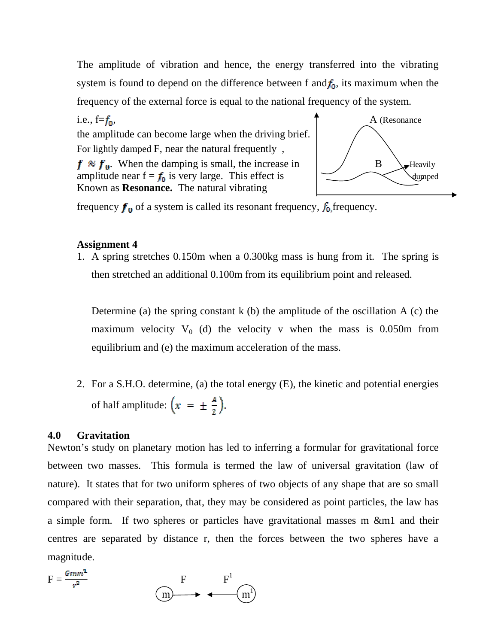The amplitude of vibration and hence, the energy transferred into the vibrating system is found to depend on the difference between f and  $f_0$ , its maximum when the frequency of the external force is equal to the national frequency of the system.

i.e.,  $f = f_0$ ,  $A$  (Resonance the amplitude can become large when the driving brief. For lightly damped F, near the natural frequently ,  $f \approx f_0$ . When the damping is small, the increase in  $/$  B  $\downarrow$  Heavily amplitude near  $f = f_0$  is very large. This effect is  $\bigcup_{\text{wmped}}$ Known as **Resonance.** The natural vibrating



frequency  $f_0$  of a system is called its resonant frequency,  $f_0$  frequency.

### **Assignment 4**

1. A spring stretches 0.150m when a 0.300kg mass is hung from it. The spring is then stretched an additional 0.100m from its equilibrium point and released.

Determine (a) the spring constant  $k$  (b) the amplitude of the oscillation  $A$  (c) the maximum velocity  $V_0$  (d) the velocity v when the mass is 0.050m from equilibrium and (e) the maximum acceleration of the mass.

2. For a S.H.O. determine, (a) the total energy (E), the kinetic and potential energies of half amplitude:  $\left(x = \pm \frac{A}{2}\right)$ .

### **4.0 Gravitation**

Newton's study on planetary motion has led to inferring a formular for gravitational force between two masses. This formula is termed the law of universal gravitation (law of nature). It states that for two uniform spheres of two objects of any shape that are so small compared with their separation, that, they may be considered as point particles, the law has a simple form. If two spheres or particles have gravitational masses m &m1 and their centres are separated by distance r, then the forces between the two spheres have a magnitude.

$$
F = \frac{Gmm^2}{r^2} \qquad F \qquad F^1
$$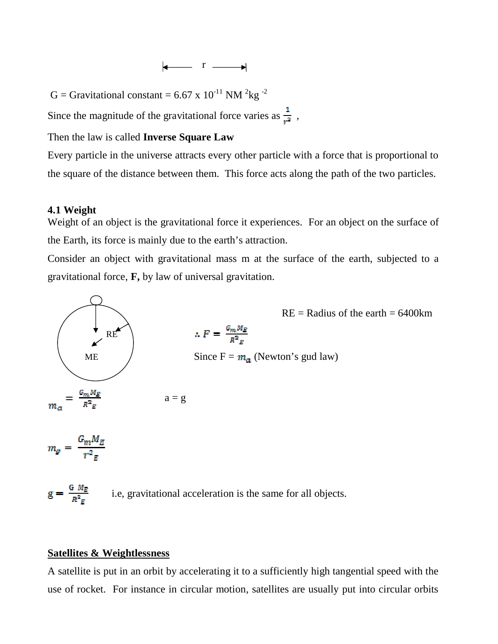# $\begin{array}{ccc} & & r & \longrightarrow \end{array}$

G = Gravitational constant = 6.67 x  $10^{-11}$  NM <sup>2</sup>kg<sup>-2</sup>

Since the magnitude of the gravitational force varies as  $\frac{1}{r^2}$ ,

Then the law is called **Inverse Square Law**

Every particle in the universe attracts every other particle with a force that is proportional to the square of the distance between them. This force acts along the path of the two particles.

#### **4.1 Weight**

Weight of an object is the gravitational force it experiences. For an object on the surface of the Earth, its force is mainly due to the earth's attraction.

Consider an object with gravitational mass m at the surface of the earth, subjected to a gravitational force, **F,** by law of universal gravitation.



### **Satellites & Weightlessness**

A satellite is put in an orbit by accelerating it to a sufficiently high tangential speed with the use of rocket. For instance in circular motion, satellites are usually put into circular orbits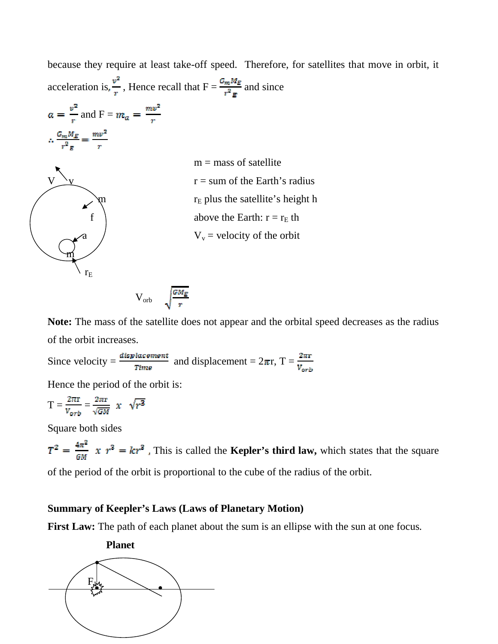because they require at least take-off speed. Therefore, for satellites that move in orbit, it acceleration is,  $\frac{v^2}{r}$ , Hence recall that  $F = \frac{G_m M_E}{r^2 E}$  and since

$$
a = \frac{v^2}{r} \text{ and } F = m_a = \frac{mv^2}{r}
$$

$$
\therefore \frac{G_m M_E}{r^2} = \frac{mv^2}{r}
$$



 $m =$  mass of satellite  $r = sum of the Earth's radius$  $r_E$  plus the satellite's height h above the Earth:  $r = r_E$  th  $V_v$  = velocity of the orbit

$$
V_{\rm orb} \sqrt{\frac{GM_E}{r}}
$$

**Note:** The mass of the satellite does not appear and the orbital speed decreases as the radius of the orbit increases.

Since velocity =  $\frac{displacement}{Time}$  and displacement =  $2\pi r$ , T =  $\frac{2\pi r}{v_{orb}}$ 

Hence the period of the orbit is:

$$
T = \frac{2\pi r}{v_{orb}} = \frac{2\pi r}{\sqrt{GM}} \times \sqrt{r^3}
$$

Square both sides

$$
T^2 = \frac{4\pi^2}{6M} x r^3 = kr^3
$$
. This is called the **Kepler's third law**, which states that the square

of the period of the orbit is proportional to the cube of the radius of the orbit.

# **Summary of Keepler's Laws (Laws of Planetary Motion)**

**First Law:** The path of each planet about the sum is an ellipse with the sun at one focus.

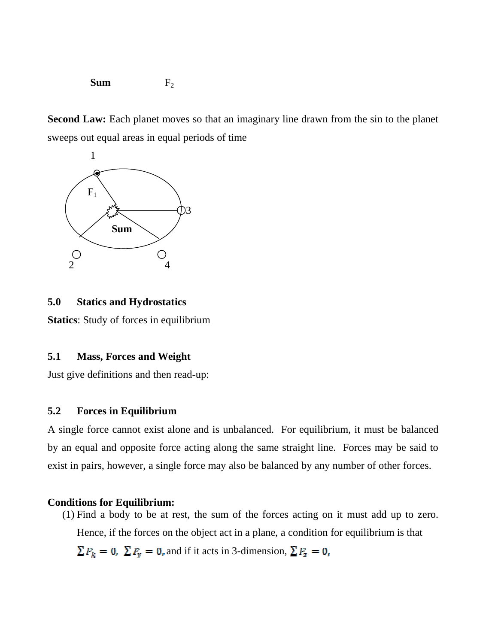**Sum**  $F_2$ 

**Second Law:** Each planet moves so that an imaginary line drawn from the sin to the planet sweeps out equal areas in equal periods of time



## **5.0 Statics and Hydrostatics**

**Statics**: Study of forces in equilibrium

# **5.1 Mass, Forces and Weight**

Just give definitions and then read-up:

#### **5.2 Forces in Equilibrium**

A single force cannot exist alone and is unbalanced. For equilibrium, it must be balanced by an equal and opposite force acting along the same straight line. Forces may be said to exist in pairs, however, a single force may also be balanced by any number of other forces.

#### **Conditions for Equilibrium:**

(1) Find a body to be at rest, the sum of the forces acting on it must add up to zero. Hence, if the forces on the object act in a plane, a condition for equilibrium is that  $\sum F_k = 0$ ,  $\sum F_y = 0$ , and if it acts in 3-dimension,  $\sum F_z = 0$ ,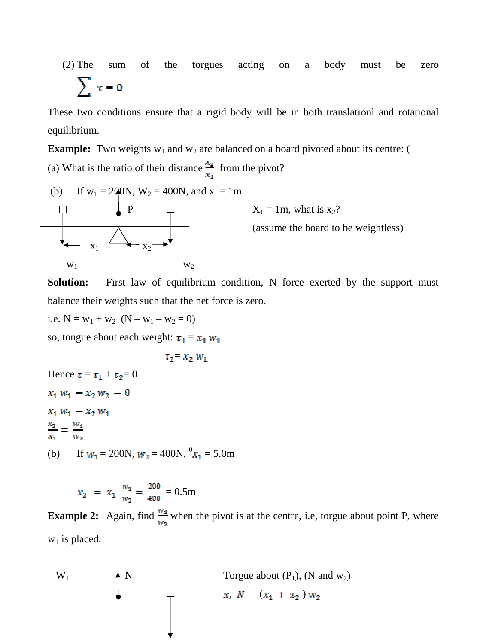(2) The sum of the torgues acting on a body must be zero  $\sum \tau = 0$ 

These two conditions ensure that a rigid body will be in both translationl and rotational equilibrium.

**Example:** Two weights  $w_1$  and  $w_2$  are balanced on a board pivoted about its centre: ( (a) What is the ratio of their distance  $\frac{x_2}{x_1}$  from the pivot?

(b) If w<sup>1</sup> = 200N, W<sup>2</sup> = 400N, and x = 1m P X<sup>1</sup> = 1m, what is x2? (assume the board to be weightless) x1 x<sup>2</sup> w1 w<sup>2</sup>

**Solution:** First law of equilibrium condition, N force exerted by the support must balance their weights such that the net force is zero.

i.e.  $N = w_1 + w_2$   $(N - w_1 - w_2 = 0)$ 

so, tongue about each weight:  $\tau_1 = x_1 w_1$ 

 $\tau_2 = x_2 w_1$ 

Hence  $\tau = \tau_1 + \tau_2 = 0$  $x_1 w_1 - x_2 w_2 = 0$  $x_1 w_1 - x_2 w_1$  $\frac{x_2}{x_1} = \frac{w_1}{w_2}$ (b) If  $w_1 = 200N$ ,  $w_2 = 400N$ ,  $v_{1x_1} = 5.0m$ 

$$
x_2 = x_1 \frac{w_1}{w_2} = \frac{200}{400} = 0.5 \text{m}
$$

**Example 2:** Again, find  $\frac{w_1}{w_2}$  when the pivot is at the centre, i.e, torgue about point P, where  $w_1$  is placed.

$$
W_1 \qquad \qquad \uparrow N \qquad \qquad \text{Torgue about (P1), (N and w2)}
$$
\n
$$
x, N - (x_1 + x_2) w_2
$$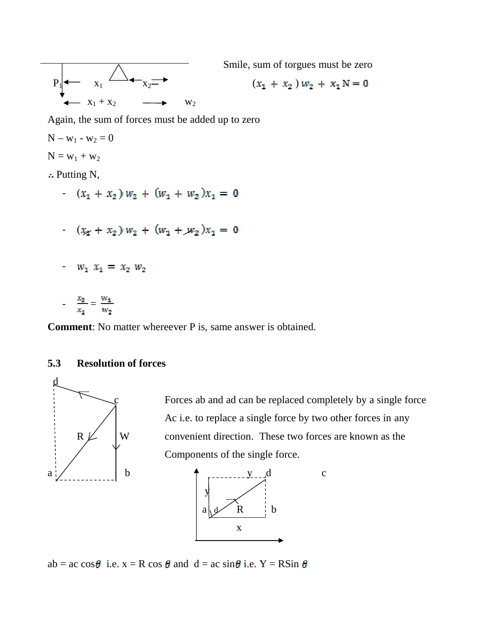

Smile, sum of torgues must be zero

$$
(x_1 + x_2) w_2 + x_1 N = 0
$$

Again, the sum of forces must be added up to zero

- $N w_1 w_2 = 0$
- $N = w_1 + w_2$
- Putting N,
	- $(x_1 + x_2) w_2 + (w_1 + w_2) x_1 = 0$
	- $(x_1 + x_2) w_2 + (w_1 + w_2) x_1 = 0$
	- $w_1 x_1 = x_2 w_2$
	- $\frac{x_2}{x_1} = \frac{w_1}{w_2}$

**Comment**: No matter whereever P is, same answer is obtained.

# **5.3 Resolution of forces**



Forces ab and ad can be replaced completely by a single force Ac i.e. to replace a single force by two other forces in any  $R \nperp$  W convenient direction. These two forces are known as the Components of the single force.



 $ab = ac \cos\theta$  i.e.  $x = R \cos\theta$  and  $d = ac \sin\theta$  i.e.  $Y = R\sin\theta$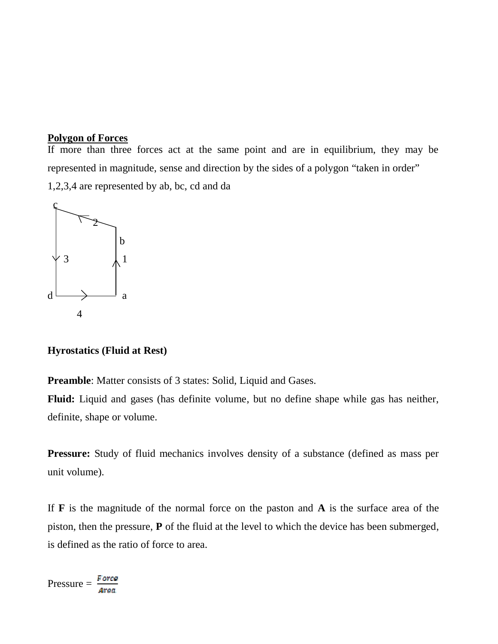# **Polygon of Forces**

If more than three forces act at the same point and are in equilibrium, they may be represented in magnitude, sense and direction by the sides of a polygon "taken in order" 1,2,3,4 are represented by ab, bc, cd and da



**Hyrostatics (Fluid at Rest)**

**Preamble**: Matter consists of 3 states: Solid, Liquid and Gases.

**Fluid:** Liquid and gases (has definite volume, but no define shape while gas has neither, definite, shape or volume.

**Pressure:** Study of fluid mechanics involves density of a substance (defined as mass per unit volume).

If **F** is the magnitude of the normal force on the paston and **A** is the surface area of the piston, then the pressure, **P** of the fluid at the level to which the device has been submerged, is defined as the ratio of force to area.

$$
Pressure = \frac{Force}{Area}
$$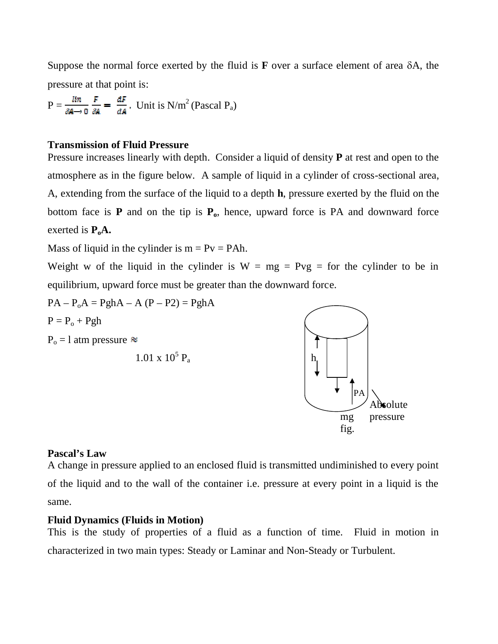Suppose the normal force exerted by the fluid is  $\bf{F}$  over a surface element of area  $\delta A$ , the pressure at that point is:

 $P = \frac{\text{lin}}{\text{sa} \to 0} \frac{F}{\text{sa}} = \frac{dF}{dA}$ . Unit is N/m<sup>2</sup> (Pascal P<sub>a</sub>)

#### **Transmission of Fluid Pressure**

Pressure increases linearly with depth. Consider a liquid of density **P** at rest and open to the atmosphere as in the figure below. A sample of liquid in a cylinder of cross-sectional area, A, extending from the surface of the liquid to a depth **h**, pressure exerted by the fluid on the bottom face is  $P$  and on the tip is  $P_0$ , hence, upward force is PA and downward force exerted is  $P_0A$ .

Mass of liquid in the cylinder is  $m = Pv = PAh$ .

Weight w of the liquid in the cylinder is  $W = mg = Pyg = for$  the cylinder to be in equilibrium, upward force must be greater than the downward force.

 $PA - P_0A = PghA - A (P - P2) = PghA$  $P = P_o + Pgh$  $P_0 = 1$  atm pressure  $\approx$  $1.01 \times 10^5$  P<sub>3</sub>  $P_a$  h PA

# **Pascal's Law**

A change in pressure applied to an enclosed fluid is transmitted undiminished to every point of the liquid and to the wall of the container i.e. pressure at every point in a liquid is the same.

#### **Fluid Dynamics (Fluids in Motion)**

This is the study of properties of a fluid as a function of time. Fluid in motion in characterized in two main types: Steady or Laminar and Non-Steady or Turbulent.

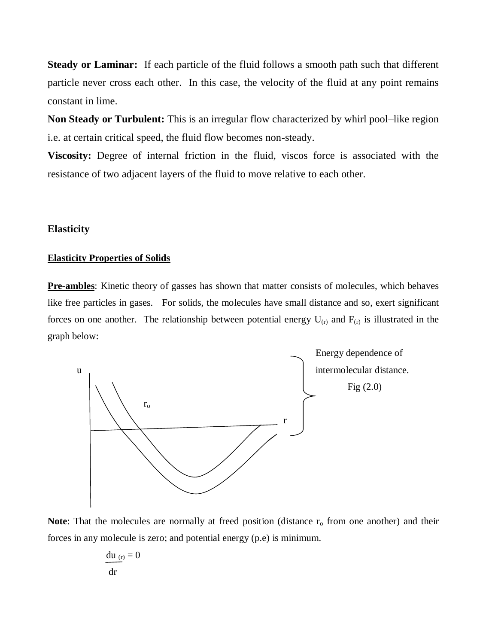**Steady or Laminar:** If each particle of the fluid follows a smooth path such that different particle never cross each other. In this case, the velocity of the fluid at any point remains constant in lime.

**Non Steady or Turbulent:** This is an irregular flow characterized by whirl pool–like region i.e. at certain critical speed, the fluid flow becomes non-steady.

**Viscosity:** Degree of internal friction in the fluid, viscos force is associated with the resistance of two adjacent layers of the fluid to move relative to each other.

#### **Elasticity**

#### **Elasticity Properties of Solids**

**Pre-ambles**: Kinetic theory of gasses has shown that matter consists of molecules, which behaves like free particles in gases. For solids, the molecules have small distance and so, exert significant forces on one another. The relationship between potential energy  $U_{(r)}$  and  $F_{(r)}$  is illustrated in the graph below:



**Note:** That the molecules are normally at freed position (distance  $r<sub>o</sub>$  from one another) and their forces in any molecule is zero; and potential energy (p.e) is minimum.

$$
\frac{\mathrm{d} u_{(r)}}{\mathrm{d} r} = 0
$$